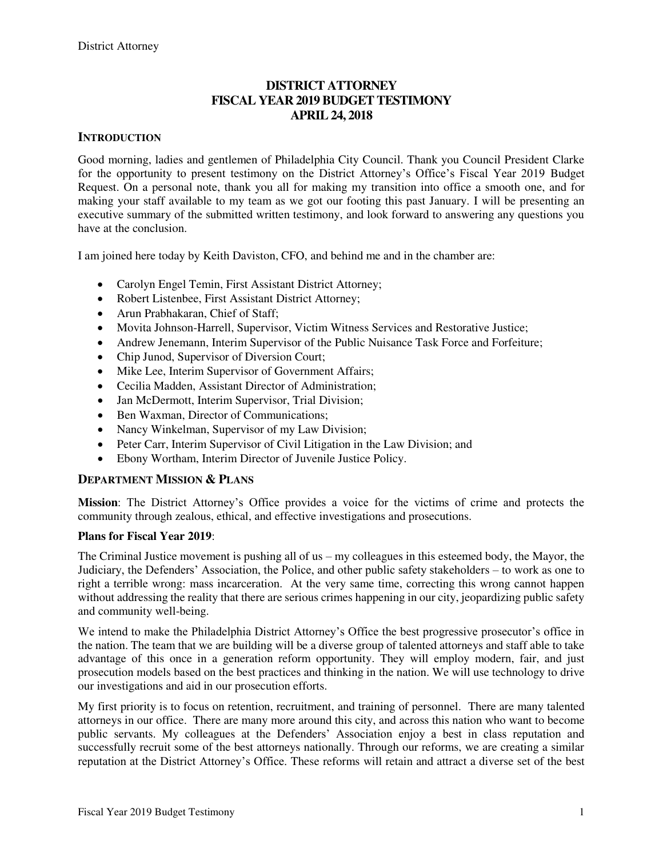## **DISTRICT ATTORNEY FISCAL YEAR 2019 BUDGET TESTIMONY APRIL 24, 2018**

### **INTRODUCTION**

Good morning, ladies and gentlemen of Philadelphia City Council. Thank you Council President Clarke for the opportunity to present testimony on the District Attorney's Office's Fiscal Year 2019 Budget Request. On a personal note, thank you all for making my transition into office a smooth one, and for making your staff available to my team as we got our footing this past January. I will be presenting an executive summary of the submitted written testimony, and look forward to answering any questions you have at the conclusion.

I am joined here today by Keith Daviston, CFO, and behind me and in the chamber are:

- Carolyn Engel Temin, First Assistant District Attorney;
- Robert Listenbee, First Assistant District Attorney;
- Arun Prabhakaran, Chief of Staff;
- Movita Johnson-Harrell, Supervisor, Victim Witness Services and Restorative Justice;
- Andrew Jenemann, Interim Supervisor of the Public Nuisance Task Force and Forfeiture;
- Chip Junod, Supervisor of Diversion Court;
- Mike Lee, Interim Supervisor of Government Affairs;
- Cecilia Madden, Assistant Director of Administration;
- Jan McDermott, Interim Supervisor, Trial Division:
- Ben Waxman, Director of Communications;
- Nancy Winkelman, Supervisor of my Law Division;
- Peter Carr, Interim Supervisor of Civil Litigation in the Law Division; and
- Ebony Wortham, Interim Director of Juvenile Justice Policy.

#### **DEPARTMENT MISSION & PLANS**

**Mission**: The District Attorney's Office provides a voice for the victims of crime and protects the community through zealous, ethical, and effective investigations and prosecutions.

#### **Plans for Fiscal Year 2019**:

The Criminal Justice movement is pushing all of us – my colleagues in this esteemed body, the Mayor, the Judiciary, the Defenders' Association, the Police, and other public safety stakeholders – to work as one to right a terrible wrong: mass incarceration. At the very same time, correcting this wrong cannot happen without addressing the reality that there are serious crimes happening in our city, jeopardizing public safety and community well-being.

We intend to make the Philadelphia District Attorney's Office the best progressive prosecutor's office in the nation. The team that we are building will be a diverse group of talented attorneys and staff able to take advantage of this once in a generation reform opportunity. They will employ modern, fair, and just prosecution models based on the best practices and thinking in the nation. We will use technology to drive our investigations and aid in our prosecution efforts.

My first priority is to focus on retention, recruitment, and training of personnel. There are many talented attorneys in our office. There are many more around this city, and across this nation who want to become public servants. My colleagues at the Defenders' Association enjoy a best in class reputation and successfully recruit some of the best attorneys nationally. Through our reforms, we are creating a similar reputation at the District Attorney's Office. These reforms will retain and attract a diverse set of the best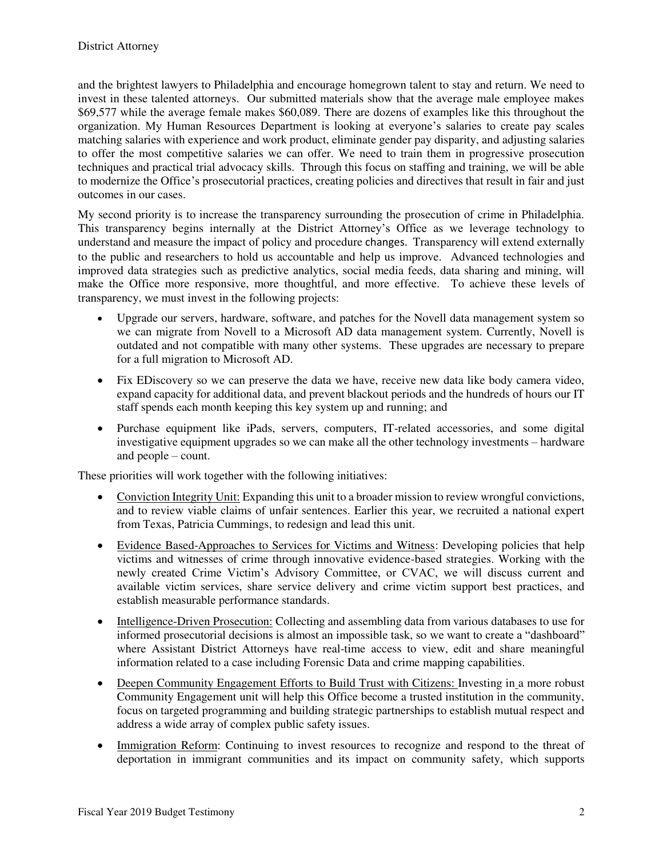and the brightest lawyers to Philadelphia and encourage homegrown talent to stay and return. We need to invest in these talented attorneys. Our submitted materials show that the average male employee makes \$69,577 while the average female makes \$60,089. There are dozens of examples like this throughout the organization. My Human Resources Department is looking at everyone's salaries to create pay scales matching salaries with experience and work product, eliminate gender pay disparity, and adjusting salaries to offer the most competitive salaries we can offer. We need to train them in progressive prosecution techniques and practical trial advocacy skills. Through this focus on staffing and training, we will be able to modernize the Office's prosecutorial practices, creating policies and directives that result in fair and just outcomes in our cases.

My second priority is to increase the transparency surrounding the prosecution of crime in Philadelphia. This transparency begins internally at the District Attorney's Office as we leverage technology to understand and measure the impact of policy and procedure changes. Transparency will extend externally to the public and researchers to hold us accountable and help us improve. Advanced technologies and improved data strategies such as predictive analytics, social media feeds, data sharing and mining, will make the Office more responsive, more thoughtful, and more effective. To achieve these levels of transparency, we must invest in the following projects:

- Upgrade our servers, hardware, software, and patches for the Novell data management system so we can migrate from Novell to a Microsoft AD data management system. Currently, Novell is outdated and not compatible with many other systems. These upgrades are necessary to prepare for a full migration to Microsoft AD.
- Fix EDiscovery so we can preserve the data we have, receive new data like body camera video, expand capacity for additional data, and prevent blackout periods and the hundreds of hours our IT staff spends each month keeping this key system up and running; and
- Purchase equipment like iPads, servers, computers, IT-related accessories, and some digital investigative equipment upgrades so we can make all the other technology investments – hardware and people – count.

These priorities will work together with the following initiatives:

- Conviction Integrity Unit: Expanding this unit to a broader mission to review wrongful convictions, and to review viable claims of unfair sentences. Earlier this year, we recruited a national expert from Texas, Patricia Cummings, to redesign and lead this unit.
- Evidence Based-Approaches to Services for Victims and Witness: Developing policies that help victims and witnesses of crime through innovative evidence-based strategies. Working with the newly created Crime Victim's Advisory Committee, or CVAC, we will discuss current and available victim services, share service delivery and crime victim support best practices, and establish measurable performance standards.
- Intelligence-Driven Prosecution: Collecting and assembling data from various databases to use for informed prosecutorial decisions is almost an impossible task, so we want to create a "dashboard" where Assistant District Attorneys have real-time access to view, edit and share meaningful information related to a case including Forensic Data and crime mapping capabilities.
- Deepen Community Engagement Efforts to Build Trust with Citizens: Investing in a more robust Community Engagement unit will help this Office become a trusted institution in the community, focus on targeted programming and building strategic partnerships to establish mutual respect and address a wide array of complex public safety issues.
- Immigration Reform: Continuing to invest resources to recognize and respond to the threat of deportation in immigrant communities and its impact on community safety, which supports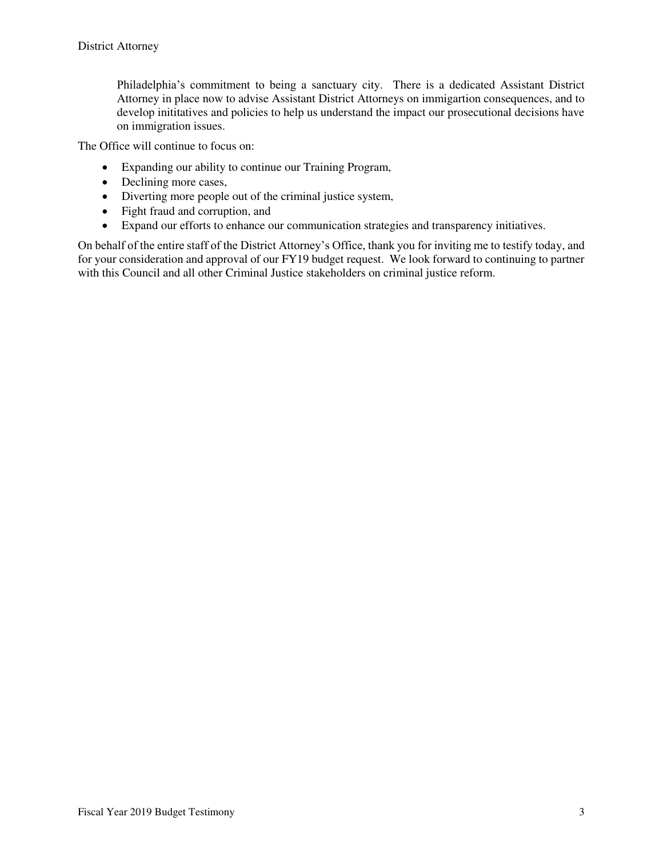Philadelphia's commitment to being a sanctuary city. There is a dedicated Assistant District Attorney in place now to advise Assistant District Attorneys on immigartion consequences, and to develop inititatives and policies to help us understand the impact our prosecutional decisions have on immigration issues.

The Office will continue to focus on:

- Expanding our ability to continue our Training Program,
- Declining more cases,
- Diverting more people out of the criminal justice system,
- Fight fraud and corruption, and
- Expand our efforts to enhance our communication strategies and transparency initiatives.

On behalf of the entire staff of the District Attorney's Office, thank you for inviting me to testify today, and for your consideration and approval of our FY19 budget request. We look forward to continuing to partner with this Council and all other Criminal Justice stakeholders on criminal justice reform.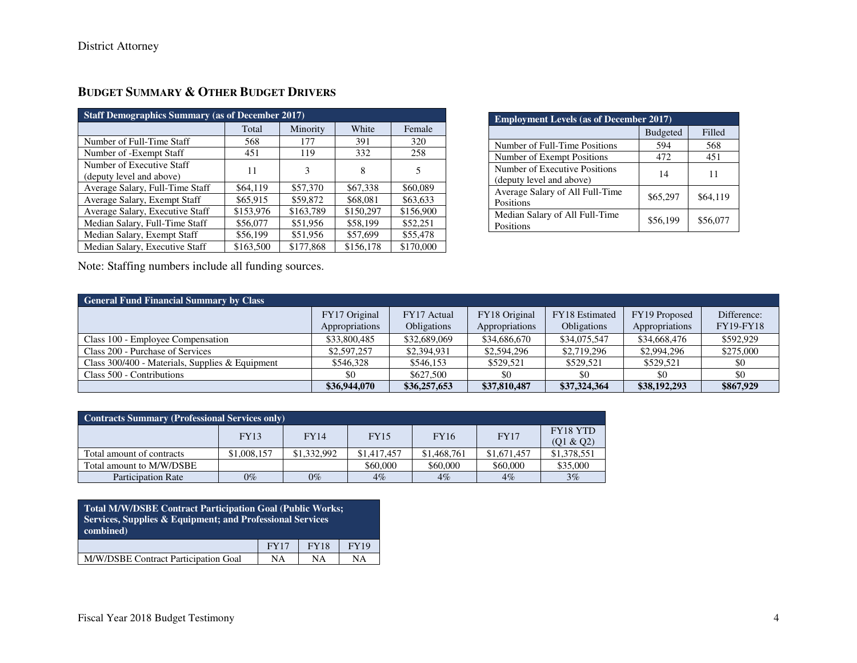| <b>Staff Demographics Summary (as of December 2017)</b> |           |           |           |           |  |  |  |  |
|---------------------------------------------------------|-----------|-----------|-----------|-----------|--|--|--|--|
|                                                         | Total     | Minority  | White     | Female    |  |  |  |  |
| Number of Full-Time Staff                               | 568       | 177       | 391       | 320       |  |  |  |  |
| Number of -Exempt Staff                                 | 451       | 119       | 332       | 258       |  |  |  |  |
| Number of Executive Staff<br>(deputy level and above)   | 11        | 3         | 8         | 5         |  |  |  |  |
| Average Salary, Full-Time Staff                         | \$64,119  | \$57,370  | \$67,338  | \$60,089  |  |  |  |  |
| Average Salary, Exempt Staff                            | \$65,915  | \$59,872  | \$68,081  | \$63,633  |  |  |  |  |
| Average Salary, Executive Staff                         | \$153,976 | \$163,789 | \$150,297 | \$156,900 |  |  |  |  |
| Median Salary, Full-Time Staff                          | \$56,077  | \$51,956  | \$58,199  | \$52,251  |  |  |  |  |
| Median Salary, Exempt Staff                             | \$56,199  | \$51,956  | \$57,699  | \$55,478  |  |  |  |  |
| Median Salary, Executive Staff                          | \$163,500 | \$177,868 | \$156,178 | \$170,000 |  |  |  |  |

# **BUDGET SUMMARY & OTHER BUDGET DRIVERS**

| <b>Employment Levels (as of December 2017)</b>            |                 |          |  |  |  |  |
|-----------------------------------------------------------|-----------------|----------|--|--|--|--|
|                                                           | <b>Budgeted</b> | Filled   |  |  |  |  |
| Number of Full-Time Positions                             | 594             | 568      |  |  |  |  |
| Number of Exempt Positions                                | 472             | 451      |  |  |  |  |
| Number of Executive Positions<br>(deputy level and above) | 14              | 11       |  |  |  |  |
| Average Salary of All Full-Time<br>Positions              | \$65,297        | \$64,119 |  |  |  |  |
| Median Salary of All Full-Time<br>Positions               | \$56,199        | \$56,077 |  |  |  |  |

Note: Staffing numbers include all funding sources.

| <b>General Fund Financial Summary by Class</b>  |                                 |                                   |                                 |                               |                                 |                                 |  |  |  |
|-------------------------------------------------|---------------------------------|-----------------------------------|---------------------------------|-------------------------------|---------------------------------|---------------------------------|--|--|--|
|                                                 | FY17 Original<br>Appropriations | FY17 Actual<br><b>Obligations</b> | FY18 Original<br>Appropriations | FY18 Estimated<br>Obligations | FY19 Proposed<br>Appropriations | Difference:<br><b>FY19-FY18</b> |  |  |  |
| Class 100 - Employee Compensation               | \$33,800,485                    | \$32,689,069                      | \$34,686,670                    | \$34,075,547                  | \$34,668,476                    | \$592,929                       |  |  |  |
| Class 200 - Purchase of Services                | \$2,597,257                     | \$2,394,931                       | \$2,594,296                     | \$2,719,296                   | \$2,994,296                     | \$275,000                       |  |  |  |
| Class 300/400 - Materials, Supplies & Equipment | \$546.328                       | \$546,153                         | \$529,521                       | \$529.521                     | \$529,521                       | \$0                             |  |  |  |
| Class 500 - Contributions                       | \$0                             | \$627,500                         | \$0                             | \$0                           | \$0                             | \$0                             |  |  |  |
|                                                 | \$36,944,070                    | \$36,257,653                      | \$37,810,487                    | \$37,324,364                  | \$38,192,293                    | \$867,929                       |  |  |  |

| <b>Contracts Summary (Professional Services only)</b> |             |             |             |             |             |                              |  |  |
|-------------------------------------------------------|-------------|-------------|-------------|-------------|-------------|------------------------------|--|--|
|                                                       | FY13        | <b>FY14</b> | <b>FY15</b> | <b>FY16</b> | <b>FY17</b> | <b>FY18 YTD</b><br>(01 & 02) |  |  |
| Total amount of contracts                             | \$1,008,157 | \$1,332,992 | \$1,417,457 | \$1,468,761 | \$1,671,457 | \$1,378,551                  |  |  |
| Total amount to M/W/DSBE                              |             |             | \$60,000    | \$60,000    | \$60,000    | \$35,000                     |  |  |
| <b>Participation Rate</b>                             | $0\%$       | $0\%$       | $4\%$       | $4\%$       | $4\%$       | $3\%$                        |  |  |

| Total M/W/DSBE Contract Participation Goal (Public Works;<br>Services, Supplies & Equipment; and Professional Services<br>combined) |             |             |             |  |  |  |  |
|-------------------------------------------------------------------------------------------------------------------------------------|-------------|-------------|-------------|--|--|--|--|
|                                                                                                                                     | <b>FY17</b> | <b>FY18</b> | <b>FY19</b> |  |  |  |  |
| M/W/DSBE Contract Participation Goal                                                                                                | <b>NA</b>   | NΑ          | NΑ          |  |  |  |  |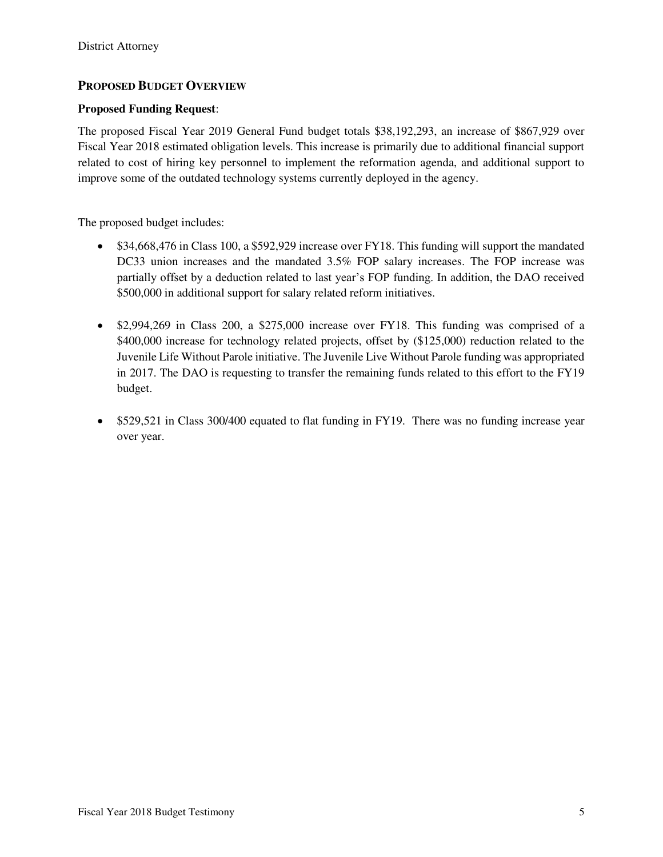### **PROPOSED BUDGET OVERVIEW**

#### **Proposed Funding Request**:

The proposed Fiscal Year 2019 General Fund budget totals \$38,192,293, an increase of \$867,929 over Fiscal Year 2018 estimated obligation levels. This increase is primarily due to additional financial support related to cost of hiring key personnel to implement the reformation agenda, and additional support to improve some of the outdated technology systems currently deployed in the agency.

The proposed budget includes:

- \$34,668,476 in Class 100, a \$592,929 increase over FY18. This funding will support the mandated DC33 union increases and the mandated 3.5% FOP salary increases. The FOP increase was partially offset by a deduction related to last year's FOP funding. In addition, the DAO received \$500,000 in additional support for salary related reform initiatives.
- \$2,994,269 in Class 200, a \$275,000 increase over FY18. This funding was comprised of a \$400,000 increase for technology related projects, offset by (\$125,000) reduction related to the Juvenile Life Without Parole initiative. The Juvenile Live Without Parole funding was appropriated in 2017. The DAO is requesting to transfer the remaining funds related to this effort to the FY19 budget.
- \$529,521 in Class 300/400 equated to flat funding in FY19. There was no funding increase year over year.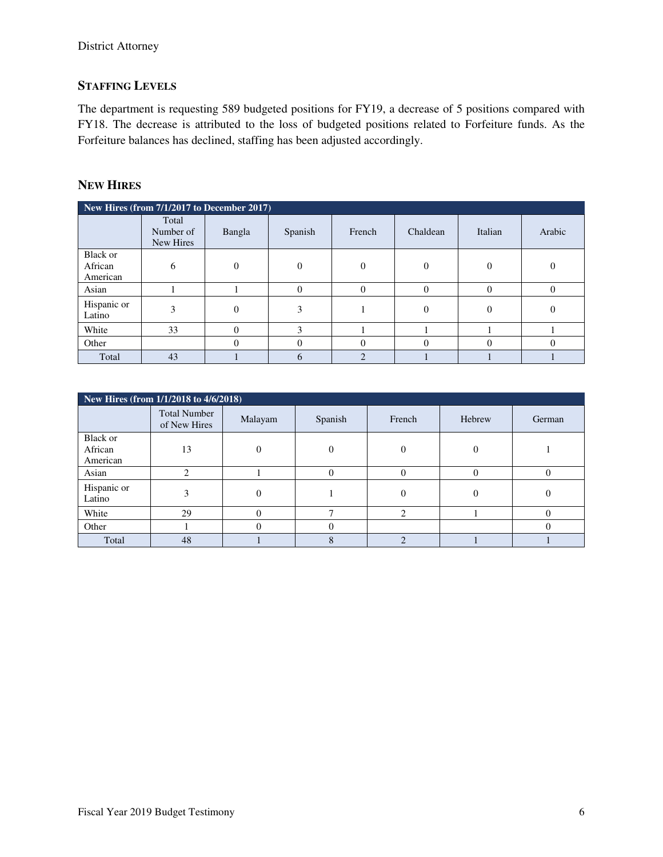# **STAFFING LEVELS**

The department is requesting 589 budgeted positions for FY19, a decrease of 5 positions compared with FY18. The decrease is attributed to the loss of budgeted positions related to Forfeiture funds. As the Forfeiture balances has declined, staffing has been adjusted accordingly.

### **NEW HIRES**

| New Hires (from $7/1/2017$ to December $2017$ ) |                                 |          |                |                |          |          |          |  |  |
|-------------------------------------------------|---------------------------------|----------|----------------|----------------|----------|----------|----------|--|--|
|                                                 | Total<br>Number of<br>New Hires | Bangla   | Spanish        | French         | Chaldean | Italian  | Arabic   |  |  |
| <b>Black or</b>                                 |                                 |          |                |                |          |          |          |  |  |
| African                                         | 6                               | $\theta$ | $\overline{0}$ |                | $\Omega$ | $\Omega$ |          |  |  |
| American                                        |                                 |          |                |                |          |          |          |  |  |
| Asian                                           |                                 |          | $\theta$       | $\Omega$       | $\Omega$ | $\Omega$ | $\theta$ |  |  |
| Hispanic or<br>Latino                           | 3                               | $\Omega$ | 3              |                | $\Omega$ | $\Omega$ | 0        |  |  |
| White                                           | 33                              | 0        | 3              |                |          |          |          |  |  |
| Other                                           |                                 |          | $\Omega$       |                |          | $\Omega$ |          |  |  |
| Total                                           | 43                              |          | 6              | $\mathfrak{D}$ |          |          |          |  |  |

| New Hires (from 1/1/2018 to 4/6/2018) |                                     |          |          |                             |          |        |  |  |  |
|---------------------------------------|-------------------------------------|----------|----------|-----------------------------|----------|--------|--|--|--|
|                                       | <b>Total Number</b><br>of New Hires | Malayam  | Spanish  | French                      | Hebrew   | German |  |  |  |
| Black or<br>African<br>American       | 13                                  | $\Omega$ | $\Omega$ | 0                           | $\Omega$ |        |  |  |  |
| Asian                                 | ∍                                   |          |          |                             | $\Omega$ |        |  |  |  |
| Hispanic or<br>Latino                 |                                     | $\Omega$ |          |                             | $\Omega$ | 0      |  |  |  |
| White                                 | 29                                  | $\Omega$ |          | $\mathcal{D}_{\mathcal{A}}$ |          |        |  |  |  |
| Other                                 |                                     | $\Omega$ |          |                             |          |        |  |  |  |
| Total                                 | 48                                  |          | $\Delta$ | $\bigcap$                   |          |        |  |  |  |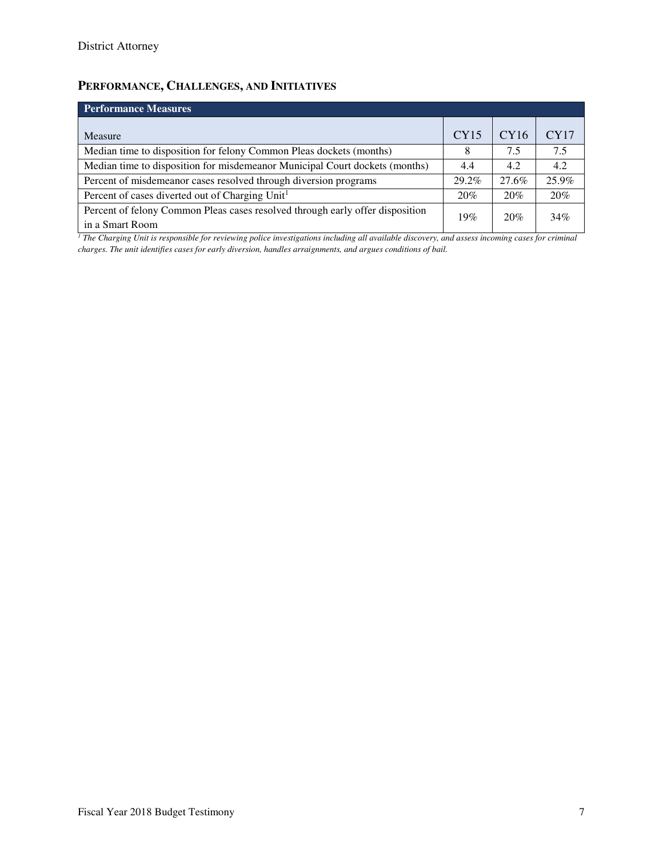# **PERFORMANCE, CHALLENGES, AND INITIATIVES**

| <b>Performance Measures</b>                                                                      |       |       |       |  |  |  |  |  |
|--------------------------------------------------------------------------------------------------|-------|-------|-------|--|--|--|--|--|
| Measure                                                                                          | CY15  | CY16  | CY17  |  |  |  |  |  |
| Median time to disposition for felony Common Pleas dockets (months)                              | 8     | 7.5   | 7.5   |  |  |  |  |  |
| Median time to disposition for misdemeanor Municipal Court dockets (months)                      | 4.4   | 4.2   | 4.2   |  |  |  |  |  |
| Percent of misdemeanor cases resolved through diversion programs                                 | 29.2% | 27.6% | 25.9% |  |  |  |  |  |
| Percent of cases diverted out of Charging Unit <sup>1</sup>                                      | 20%   | 20%   | 20%   |  |  |  |  |  |
| Percent of felony Common Pleas cases resolved through early offer disposition<br>in a Smart Room | 19%   | 20%   | 34%   |  |  |  |  |  |

<sup>1</sup> The Charging Unit is responsible for reviewing police investigations including all available discovery, and assess incoming cases for criminal *charges. The unit identifies cases for early diversion, handles arraignments, and argues conditions of bail.*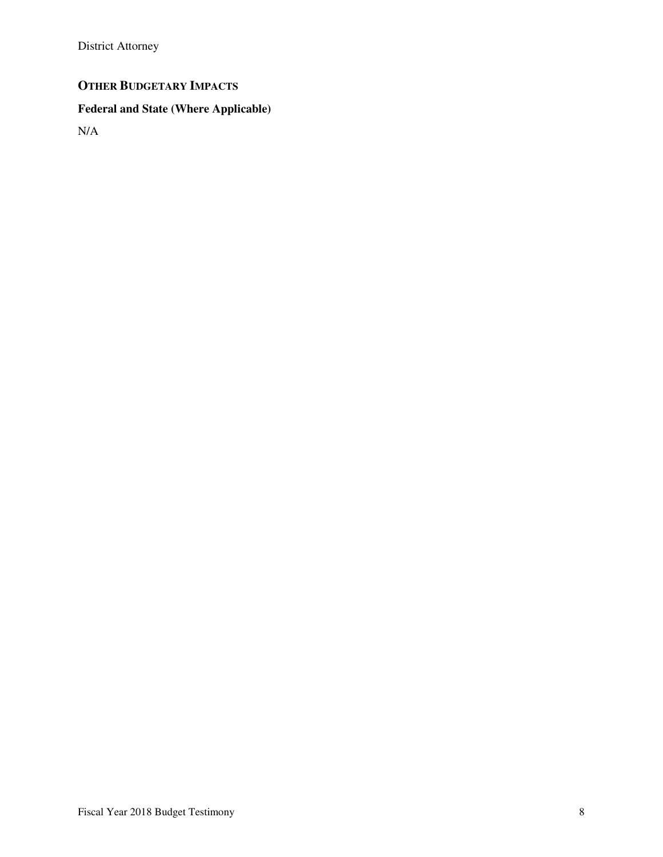District Attorney

# **OTHER BUDGETARY IMPACTS**

# **Federal and State (Where Applicable)**

N/A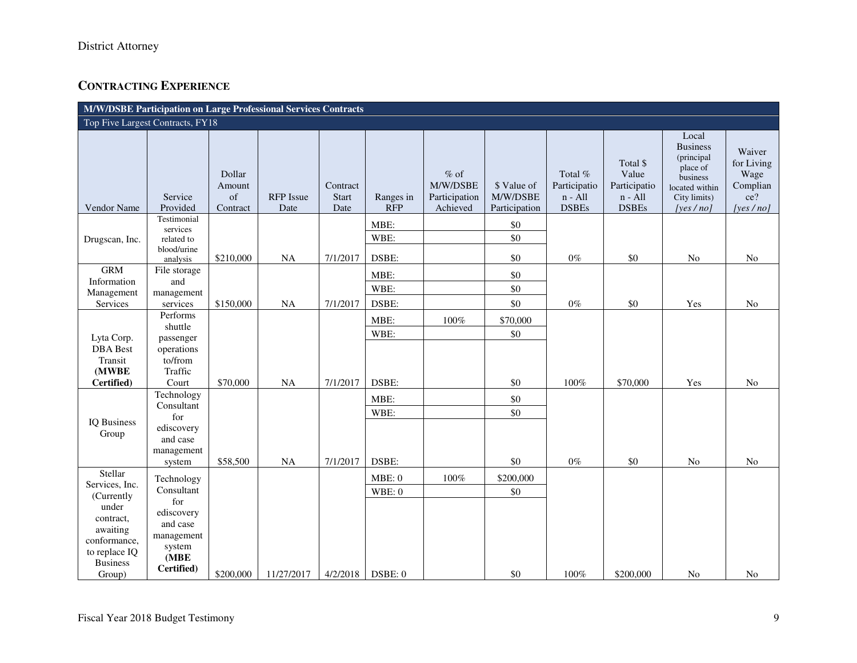# **CONTRACTING EXPERIENCE**

| M/W/DSBE Participation on Large Professional Services Contracts |                                                      |                                    |                          |                           |                         |                                                  |                                          |                                                      |                                                                |                                                                                                              |                                                                 |
|-----------------------------------------------------------------|------------------------------------------------------|------------------------------------|--------------------------|---------------------------|-------------------------|--------------------------------------------------|------------------------------------------|------------------------------------------------------|----------------------------------------------------------------|--------------------------------------------------------------------------------------------------------------|-----------------------------------------------------------------|
| Top Five Largest Contracts, FY18                                |                                                      |                                    |                          |                           |                         |                                                  |                                          |                                                      |                                                                |                                                                                                              |                                                                 |
| Vendor Name                                                     | Service<br>Provided                                  | Dollar<br>Amount<br>of<br>Contract | <b>RFP</b> Issue<br>Date | Contract<br>Start<br>Date | Ranges in<br><b>RFP</b> | $\%$ of<br>M/W/DSBE<br>Participation<br>Achieved | \$ Value of<br>M/W/DSBE<br>Participation | Total %<br>Participatio<br>$n - All$<br><b>DSBEs</b> | Total \$<br>Value<br>Participatio<br>$n - All$<br><b>DSBEs</b> | Local<br><b>Business</b><br>(principal<br>place of<br>business<br>located within<br>City limits)<br>[yes/no] | Waiver<br>for Living<br>Wage<br>Complian<br>ce?<br>[yes $/$ no] |
| Drugscan, Inc.                                                  | Testimonial<br>services<br>related to<br>blood/urine |                                    |                          |                           | MBE:<br>WBE:            |                                                  | \$0<br>$\$0$                             |                                                      |                                                                |                                                                                                              |                                                                 |
|                                                                 | analysis                                             | \$210,000                          | <b>NA</b>                | 7/1/2017                  | DSBE:                   |                                                  | \$0                                      | $0\%$                                                | \$0                                                            | No                                                                                                           | N <sub>o</sub>                                                  |
| <b>GRM</b>                                                      | File storage                                         |                                    |                          |                           | MBE:                    |                                                  | \$0                                      |                                                      |                                                                |                                                                                                              |                                                                 |
| Information<br>Management                                       | and<br>management                                    |                                    |                          |                           | WBE:                    |                                                  | \$0                                      |                                                      |                                                                |                                                                                                              |                                                                 |
| Services                                                        | services                                             | \$150,000                          | <b>NA</b>                | 7/1/2017                  | DSBE:                   |                                                  | \$0                                      | $0\%$                                                | \$0                                                            | Yes                                                                                                          | N <sub>o</sub>                                                  |
|                                                                 | Performs<br>shuttle                                  |                                    |                          |                           | MBE:                    | $100\%$                                          | \$70,000                                 |                                                      |                                                                |                                                                                                              |                                                                 |
| Lyta Corp.                                                      | passenger                                            |                                    |                          |                           | WBE:                    |                                                  | \$0                                      |                                                      |                                                                |                                                                                                              |                                                                 |
| <b>DBA</b> Best                                                 | operations                                           |                                    |                          |                           |                         |                                                  |                                          |                                                      |                                                                |                                                                                                              |                                                                 |
| Transit<br>(MWBE                                                | to/from<br>Traffic                                   |                                    |                          |                           |                         |                                                  |                                          |                                                      |                                                                |                                                                                                              |                                                                 |
| Certified)                                                      | Court                                                | \$70,000                           | <b>NA</b>                | 7/1/2017                  | DSBE:                   |                                                  | $\$0$                                    | $100\%$                                              | \$70,000                                                       | Yes                                                                                                          | No                                                              |
|                                                                 | Technology                                           |                                    |                          |                           | MBE:                    |                                                  | $\$0$                                    |                                                      |                                                                |                                                                                                              |                                                                 |
|                                                                 | Consultant                                           |                                    |                          |                           |                         |                                                  | \$0                                      |                                                      |                                                                |                                                                                                              |                                                                 |
| <b>IQ Business</b>                                              | for                                                  |                                    |                          |                           | WBE:                    |                                                  |                                          |                                                      |                                                                |                                                                                                              |                                                                 |
| Group                                                           | ediscovery                                           |                                    |                          |                           |                         |                                                  |                                          |                                                      |                                                                |                                                                                                              |                                                                 |
|                                                                 | and case<br>management                               |                                    |                          |                           |                         |                                                  |                                          |                                                      |                                                                |                                                                                                              |                                                                 |
|                                                                 | system                                               | \$58,500                           | NA                       | 7/1/2017                  | DSBE:                   |                                                  | \$0                                      | $0\%$                                                | $\$0$                                                          | $\rm No$                                                                                                     | No                                                              |
| Stellar<br>Services, Inc.                                       | Technology                                           |                                    |                          |                           | MBE: 0                  | $100\%$                                          | \$200,000                                |                                                      |                                                                |                                                                                                              |                                                                 |
| (Currently                                                      | Consultant                                           |                                    |                          |                           | WBE:0                   |                                                  | $\$0$                                    |                                                      |                                                                |                                                                                                              |                                                                 |
| under                                                           | for<br>ediscovery                                    |                                    |                          |                           |                         |                                                  |                                          |                                                      |                                                                |                                                                                                              |                                                                 |
| contract,                                                       | and case                                             |                                    |                          |                           |                         |                                                  |                                          |                                                      |                                                                |                                                                                                              |                                                                 |
| awaiting                                                        | management                                           |                                    |                          |                           |                         |                                                  |                                          |                                                      |                                                                |                                                                                                              |                                                                 |
| conformance,<br>to replace IQ                                   | system                                               |                                    |                          |                           |                         |                                                  |                                          |                                                      |                                                                |                                                                                                              |                                                                 |
| <b>Business</b>                                                 | (MBE)                                                |                                    |                          |                           |                         |                                                  |                                          |                                                      |                                                                |                                                                                                              |                                                                 |
| Group)                                                          | Certified)                                           | \$200,000                          | 11/27/2017               | 4/2/2018                  | DSBE: 0                 |                                                  | \$0                                      | 100%                                                 | \$200,000                                                      | N <sub>o</sub>                                                                                               | N <sub>0</sub>                                                  |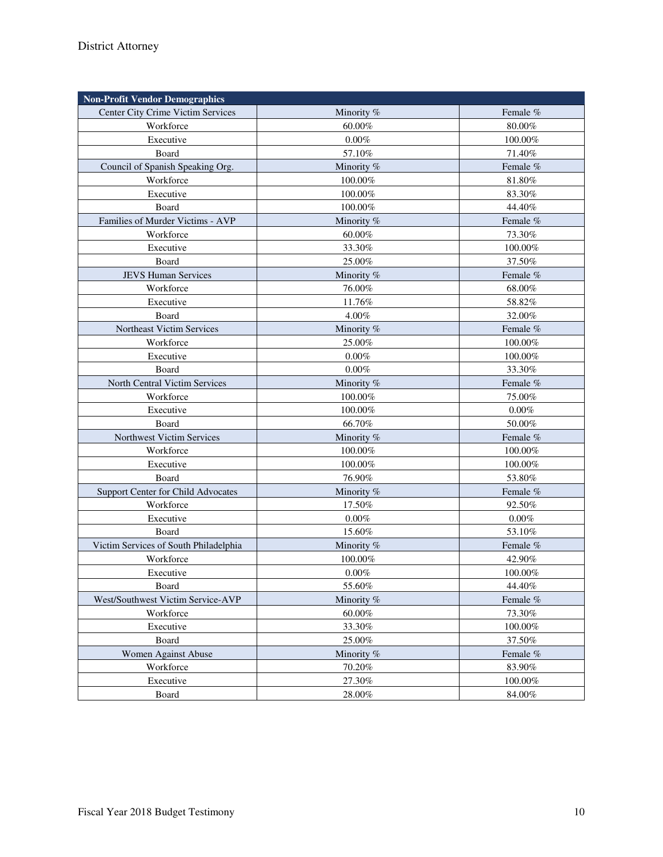| <b>Non-Profit Vendor Demographics</b> |            |           |
|---------------------------------------|------------|-----------|
| Center City Crime Victim Services     | Minority % | Female %  |
| Workforce                             | 60.00%     | 80.00%    |
| Executive                             | $0.00\%$   | 100.00%   |
| Board                                 | 57.10%     | 71.40%    |
| Council of Spanish Speaking Org.      | Minority % | Female %  |
| Workforce                             | 100.00%    | $81.80\%$ |
| Executive                             | 100.00%    | 83.30%    |
| Board                                 | 100.00%    | 44.40%    |
| Families of Murder Victims - AVP      | Minority % | Female %  |
| Workforce                             | 60.00%     | 73.30%    |
| Executive                             | 33.30%     | 100.00%   |
| Board                                 | 25.00%     | 37.50%    |
| <b>JEVS Human Services</b>            | Minority % | Female %  |
| Workforce                             | 76.00%     | 68.00%    |
| Executive                             | 11.76%     | 58.82%    |
| Board                                 | 4.00%      | 32.00%    |
| Northeast Victim Services             | Minority % | Female %  |
| Workforce                             | 25.00%     | 100.00%   |
| Executive                             | $0.00\%$   | 100.00%   |
| Board                                 | 0.00%      | 33.30%    |
| North Central Victim Services         | Minority % | Female %  |
| Workforce                             | 100.00%    | 75.00%    |
| Executive                             | 100.00%    | 0.00%     |
| Board                                 | 66.70%     | 50.00%    |
| Northwest Victim Services             | Minority % | Female %  |
| Workforce                             | 100.00%    | 100.00%   |
| Executive                             | 100.00%    | 100.00%   |
| Board                                 | 76.90%     | 53.80%    |
| Support Center for Child Advocates    | Minority % | Female %  |
| Workforce                             | 17.50%     | 92.50%    |
| Executive                             | 0.00%      | $0.00\%$  |
| Board                                 | 15.60%     | 53.10%    |
| Victim Services of South Philadelphia | Minority % | Female %  |
| Workforce                             | 100.00%    | 42.90%    |
| Executive                             | $0.00\%$   | 100.00%   |
| Board                                 | 55.60%     | 44.40%    |
| West/Southwest Victim Service-AVP     | Minority % | Female %  |
| Workforce                             | 60.00%     | 73.30%    |
| Executive                             | 33.30%     | 100.00%   |
| Board                                 | 25.00%     | 37.50%    |
| Women Against Abuse                   | Minority % | Female %  |
| Workforce                             | 70.20%     | 83.90%    |
| Executive                             | 27.30%     | 100.00%   |
| Board                                 | 28.00%     | 84.00%    |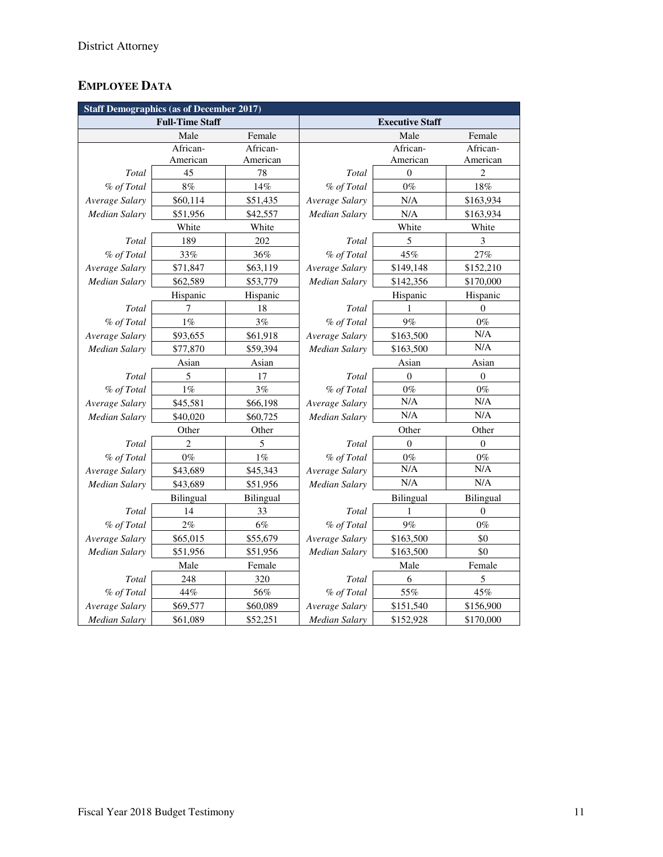# **EMPLOYEE DATA**

| <b>Staff Demographics (as of December 2017)</b> |                        |           |                        |                |                  |  |  |  |
|-------------------------------------------------|------------------------|-----------|------------------------|----------------|------------------|--|--|--|
|                                                 | <b>Full-Time Staff</b> |           | <b>Executive Staff</b> |                |                  |  |  |  |
|                                                 | Male                   | Female    |                        | Male           | Female           |  |  |  |
|                                                 | African-               | African-  |                        | African-       | African-         |  |  |  |
|                                                 | American               | American  |                        | American       | American         |  |  |  |
| Total                                           | 45                     | 78        | Total                  | $\overline{0}$ | $\overline{c}$   |  |  |  |
| % of Total                                      | 8%                     | 14%       | % of Total             | $0\%$          | 18%              |  |  |  |
| Average Salary                                  | \$60,114               | \$51,435  | Average Salary         | N/A            | \$163,934        |  |  |  |
| <b>Median Salary</b>                            | \$51,956               | \$42,557  | <b>Median Salary</b>   | N/A            | \$163,934        |  |  |  |
|                                                 | White                  | White     |                        | White          | White            |  |  |  |
| Total                                           | 189                    | 202       | Total                  | 5              | 3                |  |  |  |
| % of Total                                      | 33%                    | 36%       | % of Total             | 45%            | 27%              |  |  |  |
| Average Salary                                  | \$71,847               | \$63,119  | Average Salary         | \$149,148      | \$152,210        |  |  |  |
| <b>Median Salary</b>                            | \$62,589               | \$53,779  | Median Salary          | \$142,356      | \$170,000        |  |  |  |
|                                                 | Hispanic               | Hispanic  |                        | Hispanic       | Hispanic         |  |  |  |
| Total                                           | 7                      | 18        | Total                  | 1              | $\theta$         |  |  |  |
| % of Total                                      | 1%                     | 3%        | % of Total             | 9%             | $0\%$            |  |  |  |
| Average Salary                                  | \$93,655               | \$61,918  | Average Salary         | \$163,500      | N/A              |  |  |  |
| <b>Median Salary</b>                            | \$77,870               | \$59,394  | Median Salary          | \$163,500      | N/A              |  |  |  |
|                                                 | Asian<br>Asian         |           | Asian<br>Asian         |                |                  |  |  |  |
| Total                                           | 5                      | 17        | Total                  | $\Omega$       | $\mathbf{0}$     |  |  |  |
| % of Total                                      | $1\%$                  | 3%        | % of Total             | $0\%$          | $0\%$            |  |  |  |
| Average Salary                                  | \$45,581               | \$66,198  | Average Salary         | N/A            | N/A              |  |  |  |
| Median Salary                                   | \$40,020               | \$60,725  | Median Salary          | N/A            | N/A              |  |  |  |
|                                                 | Other                  | Other     | Other<br>Other         |                |                  |  |  |  |
| Total                                           | $\overline{2}$         | 5         | Total                  | $\theta$       | $\theta$         |  |  |  |
| % of Total                                      | $0\%$                  | $1\%$     | % of Total             | $0\%$          | $0\%$            |  |  |  |
| Average Salary                                  | \$43,689               | \$45,343  | Average Salary         | $\rm N/A$      | $\rm N/A$        |  |  |  |
| Median Salary                                   | \$43,689               | \$51,956  | Median Salary          | N/A            | N/A              |  |  |  |
|                                                 | Bilingual              | Bilingual | <b>Bilingual</b>       |                | Bilingual        |  |  |  |
| Total                                           | 14                     | 33        | Total                  | 1              | $\boldsymbol{0}$ |  |  |  |
| % of Total                                      | 2%                     | 6%        | % of Total             | 9%             | $0\%$            |  |  |  |
| Average Salary                                  | \$65,015               | \$55,679  | Average Salary         | \$163,500      | \$0              |  |  |  |
| <b>Median Salary</b>                            | \$51,956               | \$51,956  | Median Salary          | \$163,500      | \$0              |  |  |  |
|                                                 | Male                   | Female    |                        | Male           | Female           |  |  |  |
| Total                                           | 248                    | 320       | Total                  | 6              | 5                |  |  |  |
| % of Total                                      | 44%                    | 56%       | % of Total             | 55%            | 45%              |  |  |  |
| Average Salary                                  | \$69,577               | \$60,089  | Average Salary         | \$151,540      | \$156,900        |  |  |  |
| <b>Median Salary</b>                            | \$61,089               | \$52,251  | <b>Median Salary</b>   | \$152,928      | \$170,000        |  |  |  |